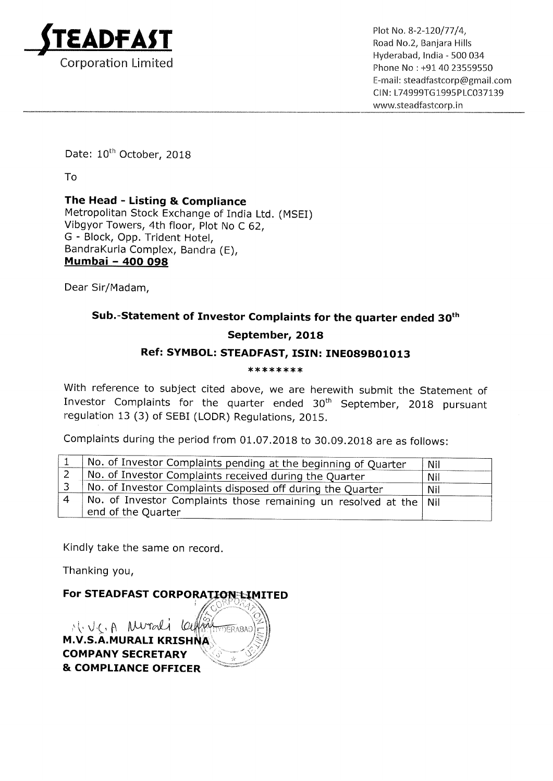

Hyderabad, lndia <sup>~</sup> 500 034 Corporation Limited **Phone No : +91 40 23559550** E—mail: steadfastcorp@gmail.com ClN: L74999T61995PLC037139 www.5teadfastcorp.in

Date: 10<sup>th</sup> October, 2018

To

The Head - Listing & Compliance Metropolitan Stock Exchange of India Ltd. (MSEI) Vibgyor Towers, 4th floor, Plot No <sup>C</sup> 62, G - Block, Opp. Trident Hotel, BandraKurla Complex, Bandra (E), Mumbai — 400 098

Dear Sir/Madam,

## Sub.-Statement of Investor Complaints for the quarter ended 30<sup>th</sup>

## September, 2018

## Ref: SYMBOL: STEADFAST, ISIN: INE089B01013

#### \*\*\*\*\*\*\*\*

With reference to subject cited above, we are herewith submit the Statement of Investor Complaints for the quarter ended 30<sup>th</sup> September, 2018 pursuant regulation <sup>13</sup> (3) of SEBI (LODR) Regulations, 2015.

Complaints during the period from 01.07.2018 to 30.09.2018 are as follows:

| No. of Investor Complaints pending at the beginning of Quarter                            | Nil |
|-------------------------------------------------------------------------------------------|-----|
| No. of Investor Complaints received during the Quarter                                    | Nil |
| No. of Investor Complaints disposed off during the Quarter                                | Nil |
| No. of Investor Complaints those remaining un resolved at the   Nil<br>end of the Quarter |     |

Kindly take the same on record.

Thanking you,

For STEADFAST CORPORATION LIMITED

H. J.C. A Murali Celling TERARAY M.V.S.A.MURALI KRISH COMPANY SECRETARY & COMPLIANCE OFFICER